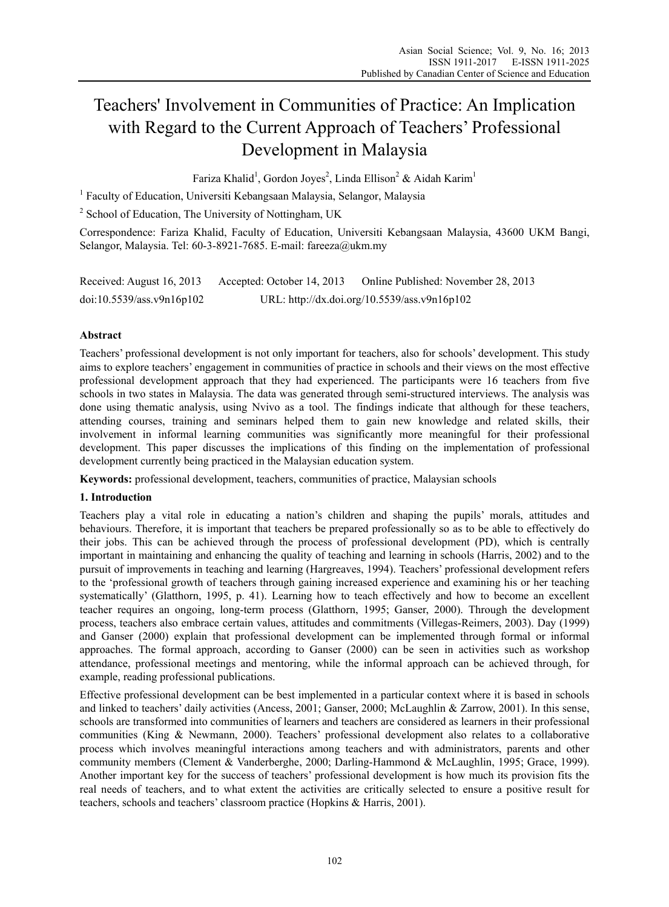# Teachers' Involvement in Communities of Practice: An Implication with Regard to the Current Approach of Teachers' Professional Development in Malaysia

Fariza Khalid<sup>1</sup>, Gordon Joyes<sup>2</sup>, Linda Ellison<sup>2</sup> & Aidah Karim<sup>1</sup>

<sup>1</sup> Faculty of Education, Universiti Kebangsaan Malaysia, Selangor, Malaysia

<sup>2</sup> School of Education, The University of Nottingham, UK

Correspondence: Fariza Khalid, Faculty of Education, Universiti Kebangsaan Malaysia, 43600 UKM Bangi, Selangor, Malaysia. Tel: 60-3-8921-7685. E-mail: fareeza@ukm.my

| Received: August 16, 2013 | Accepted: October 14, 2013                   | Online Published: November 28, 2013 |
|---------------------------|----------------------------------------------|-------------------------------------|
| doi:10.5539/ass.v9n16p102 | URL: http://dx.doi.org/10.5539/ass.v9n16p102 |                                     |

## **Abstract**

Teachers' professional development is not only important for teachers, also for schools' development. This study aims to explore teachers' engagement in communities of practice in schools and their views on the most effective professional development approach that they had experienced. The participants were 16 teachers from five schools in two states in Malaysia. The data was generated through semi-structured interviews. The analysis was done using thematic analysis, using Nvivo as a tool. The findings indicate that although for these teachers, attending courses, training and seminars helped them to gain new knowledge and related skills, their involvement in informal learning communities was significantly more meaningful for their professional development. This paper discusses the implications of this finding on the implementation of professional development currently being practiced in the Malaysian education system.

**Keywords:** professional development, teachers, communities of practice, Malaysian schools

# **1. Introduction**

Teachers play a vital role in educating a nation's children and shaping the pupils' morals, attitudes and behaviours. Therefore, it is important that teachers be prepared professionally so as to be able to effectively do their jobs. This can be achieved through the process of professional development (PD), which is centrally important in maintaining and enhancing the quality of teaching and learning in schools (Harris, 2002) and to the pursuit of improvements in teaching and learning (Hargreaves, 1994). Teachers' professional development refers to the 'professional growth of teachers through gaining increased experience and examining his or her teaching systematically' (Glatthorn, 1995, p. 41). Learning how to teach effectively and how to become an excellent teacher requires an ongoing, long-term process (Glatthorn, 1995; Ganser, 2000). Through the development process, teachers also embrace certain values, attitudes and commitments (Villegas-Reimers, 2003). Day (1999) and Ganser (2000) explain that professional development can be implemented through formal or informal approaches. The formal approach, according to Ganser (2000) can be seen in activities such as workshop attendance, professional meetings and mentoring, while the informal approach can be achieved through, for example, reading professional publications.

Effective professional development can be best implemented in a particular context where it is based in schools and linked to teachers' daily activities (Ancess, 2001; Ganser, 2000; McLaughlin & Zarrow, 2001). In this sense, schools are transformed into communities of learners and teachers are considered as learners in their professional communities (King & Newmann, 2000). Teachers' professional development also relates to a collaborative process which involves meaningful interactions among teachers and with administrators, parents and other community members (Clement & Vanderberghe, 2000; Darling-Hammond & McLaughlin, 1995; Grace, 1999). Another important key for the success of teachers' professional development is how much its provision fits the real needs of teachers, and to what extent the activities are critically selected to ensure a positive result for teachers, schools and teachers' classroom practice (Hopkins & Harris, 2001).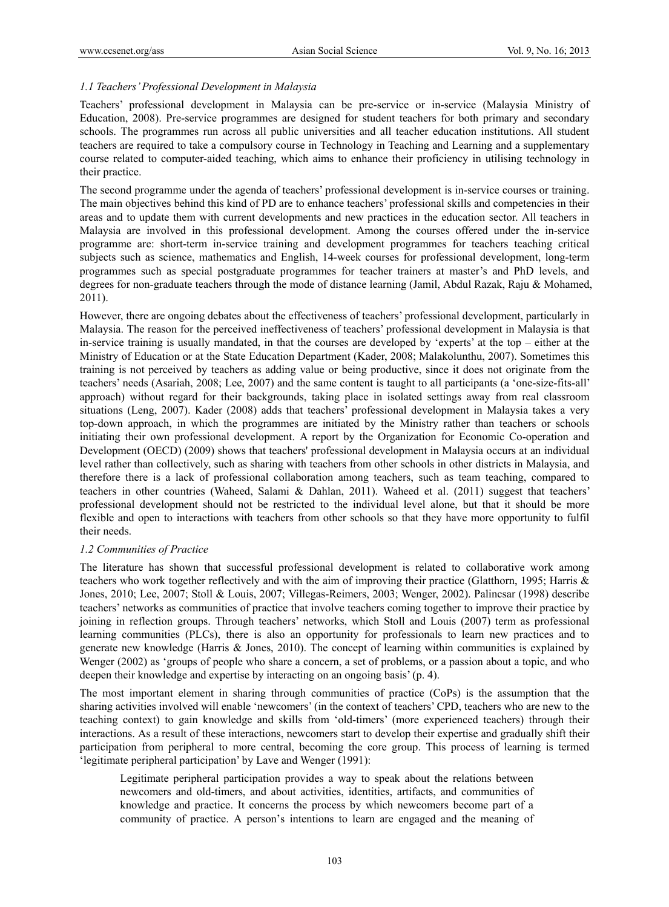# *1.1 Teachers' Professional Development in Malaysia*

Teachers' professional development in Malaysia can be pre-service or in-service (Malaysia Ministry of Education, 2008). Pre-service programmes are designed for student teachers for both primary and secondary schools. The programmes run across all public universities and all teacher education institutions. All student teachers are required to take a compulsory course in Technology in Teaching and Learning and a supplementary course related to computer-aided teaching, which aims to enhance their proficiency in utilising technology in their practice.

The second programme under the agenda of teachers' professional development is in-service courses or training. The main objectives behind this kind of PD are to enhance teachers' professional skills and competencies in their areas and to update them with current developments and new practices in the education sector. All teachers in Malaysia are involved in this professional development. Among the courses offered under the in-service programme are: short-term in-service training and development programmes for teachers teaching critical subjects such as science, mathematics and English, 14-week courses for professional development, long-term programmes such as special postgraduate programmes for teacher trainers at master's and PhD levels, and degrees for non-graduate teachers through the mode of distance learning (Jamil, Abdul Razak, Raju & Mohamed, 2011).

However, there are ongoing debates about the effectiveness of teachers' professional development, particularly in Malaysia. The reason for the perceived ineffectiveness of teachers' professional development in Malaysia is that in-service training is usually mandated, in that the courses are developed by 'experts' at the top – either at the Ministry of Education or at the State Education Department (Kader, 2008; Malakolunthu, 2007). Sometimes this training is not perceived by teachers as adding value or being productive, since it does not originate from the teachers' needs (Asariah, 2008; Lee, 2007) and the same content is taught to all participants (a 'one-size-fits-all' approach) without regard for their backgrounds, taking place in isolated settings away from real classroom situations (Leng, 2007). Kader (2008) adds that teachers' professional development in Malaysia takes a very top-down approach, in which the programmes are initiated by the Ministry rather than teachers or schools initiating their own professional development. A report by the Organization for Economic Co-operation and Development (OECD) (2009) shows that teachers' professional development in Malaysia occurs at an individual level rather than collectively, such as sharing with teachers from other schools in other districts in Malaysia, and therefore there is a lack of professional collaboration among teachers, such as team teaching, compared to teachers in other countries (Waheed, Salami & Dahlan, 2011). Waheed et al. (2011) suggest that teachers' professional development should not be restricted to the individual level alone, but that it should be more flexible and open to interactions with teachers from other schools so that they have more opportunity to fulfil their needs.

### *1.2 Communities of Practice*

The literature has shown that successful professional development is related to collaborative work among teachers who work together reflectively and with the aim of improving their practice (Glatthorn, 1995; Harris & Jones, 2010; Lee, 2007; Stoll & Louis, 2007; Villegas-Reimers, 2003; Wenger, 2002). Palincsar (1998) describe teachers' networks as communities of practice that involve teachers coming together to improve their practice by joining in reflection groups. Through teachers' networks, which Stoll and Louis (2007) term as professional learning communities (PLCs), there is also an opportunity for professionals to learn new practices and to generate new knowledge (Harris & Jones, 2010). The concept of learning within communities is explained by Wenger (2002) as 'groups of people who share a concern, a set of problems, or a passion about a topic, and who deepen their knowledge and expertise by interacting on an ongoing basis' (p. 4).

The most important element in sharing through communities of practice (CoPs) is the assumption that the sharing activities involved will enable 'newcomers' (in the context of teachers' CPD, teachers who are new to the teaching context) to gain knowledge and skills from 'old-timers' (more experienced teachers) through their interactions. As a result of these interactions, newcomers start to develop their expertise and gradually shift their participation from peripheral to more central, becoming the core group. This process of learning is termed 'legitimate peripheral participation' by Lave and Wenger (1991):

Legitimate peripheral participation provides a way to speak about the relations between newcomers and old-timers, and about activities, identities, artifacts, and communities of knowledge and practice. It concerns the process by which newcomers become part of a community of practice. A person's intentions to learn are engaged and the meaning of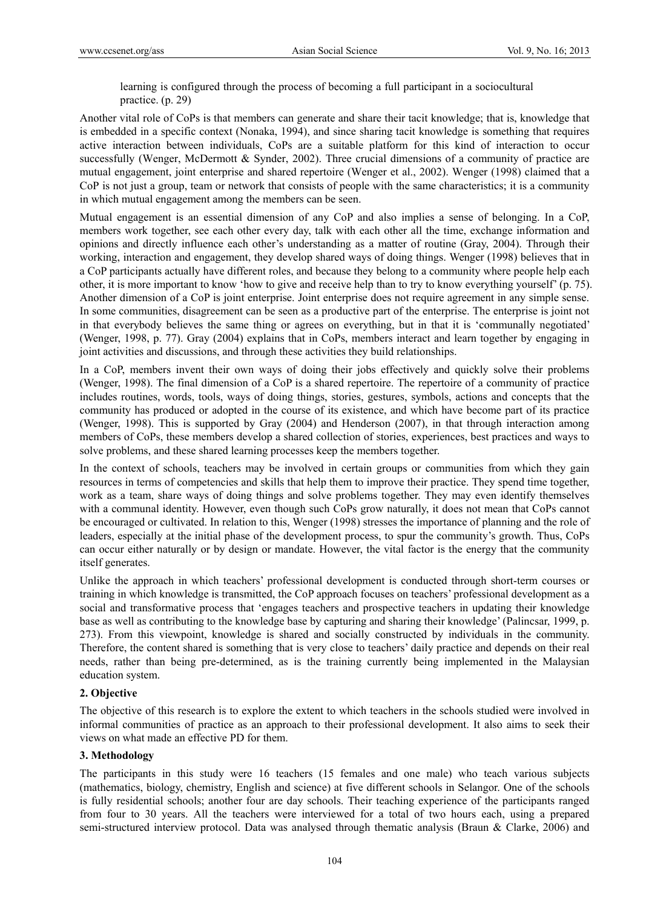learning is configured through the process of becoming a full participant in a sociocultural practice. (p. 29)

Another vital role of CoPs is that members can generate and share their tacit knowledge; that is, knowledge that is embedded in a specific context (Nonaka, 1994), and since sharing tacit knowledge is something that requires active interaction between individuals, CoPs are a suitable platform for this kind of interaction to occur successfully (Wenger, McDermott & Synder, 2002). Three crucial dimensions of a community of practice are mutual engagement, joint enterprise and shared repertoire (Wenger et al., 2002). Wenger (1998) claimed that a CoP is not just a group, team or network that consists of people with the same characteristics; it is a community in which mutual engagement among the members can be seen.

Mutual engagement is an essential dimension of any CoP and also implies a sense of belonging. In a CoP, members work together, see each other every day, talk with each other all the time, exchange information and opinions and directly influence each other's understanding as a matter of routine (Gray, 2004). Through their working, interaction and engagement, they develop shared ways of doing things. Wenger (1998) believes that in a CoP participants actually have different roles, and because they belong to a community where people help each other, it is more important to know 'how to give and receive help than to try to know everything yourself' (p. 75). Another dimension of a CoP is joint enterprise. Joint enterprise does not require agreement in any simple sense. In some communities, disagreement can be seen as a productive part of the enterprise. The enterprise is joint not in that everybody believes the same thing or agrees on everything, but in that it is 'communally negotiated' (Wenger, 1998, p. 77). Gray (2004) explains that in CoPs, members interact and learn together by engaging in joint activities and discussions, and through these activities they build relationships.

In a CoP, members invent their own ways of doing their jobs effectively and quickly solve their problems (Wenger, 1998). The final dimension of a CoP is a shared repertoire. The repertoire of a community of practice includes routines, words, tools, ways of doing things, stories, gestures, symbols, actions and concepts that the community has produced or adopted in the course of its existence, and which have become part of its practice (Wenger, 1998). This is supported by Gray (2004) and Henderson (2007), in that through interaction among members of CoPs, these members develop a shared collection of stories, experiences, best practices and ways to solve problems, and these shared learning processes keep the members together.

In the context of schools, teachers may be involved in certain groups or communities from which they gain resources in terms of competencies and skills that help them to improve their practice. They spend time together, work as a team, share ways of doing things and solve problems together. They may even identify themselves with a communal identity. However, even though such CoPs grow naturally, it does not mean that CoPs cannot be encouraged or cultivated. In relation to this, Wenger (1998) stresses the importance of planning and the role of leaders, especially at the initial phase of the development process, to spur the community's growth. Thus, CoPs can occur either naturally or by design or mandate. However, the vital factor is the energy that the community itself generates.

Unlike the approach in which teachers' professional development is conducted through short-term courses or training in which knowledge is transmitted, the CoP approach focuses on teachers' professional development as a social and transformative process that 'engages teachers and prospective teachers in updating their knowledge base as well as contributing to the knowledge base by capturing and sharing their knowledge' (Palincsar, 1999, p. 273). From this viewpoint, knowledge is shared and socially constructed by individuals in the community. Therefore, the content shared is something that is very close to teachers' daily practice and depends on their real needs, rather than being pre-determined, as is the training currently being implemented in the Malaysian education system.

### **2. Objective**

The objective of this research is to explore the extent to which teachers in the schools studied were involved in informal communities of practice as an approach to their professional development. It also aims to seek their views on what made an effective PD for them.

### **3. Methodology**

The participants in this study were 16 teachers (15 females and one male) who teach various subjects (mathematics, biology, chemistry, English and science) at five different schools in Selangor. One of the schools is fully residential schools; another four are day schools. Their teaching experience of the participants ranged from four to 30 years. All the teachers were interviewed for a total of two hours each, using a prepared semi-structured interview protocol. Data was analysed through thematic analysis (Braun & Clarke, 2006) and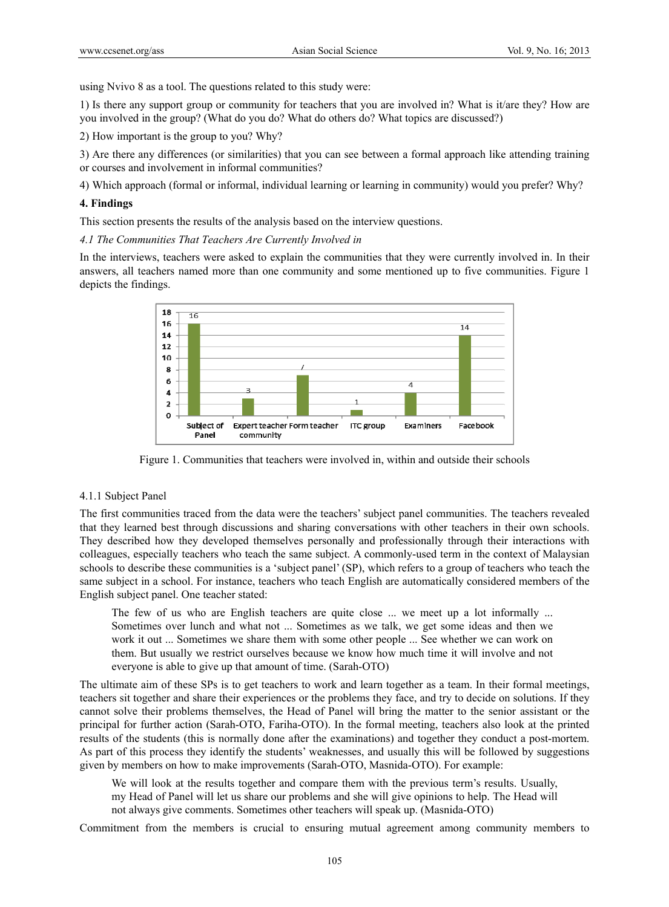using Nvivo 8 as a tool. The questions related to this study were:

1) Is there any support group or community for teachers that you are involved in? What is it/are they? How are you involved in the group? (What do you do? What do others do? What topics are discussed?)

2) How important is the group to you? Why?

3) Are there any differences (or similarities) that you can see between a formal approach like attending training or courses and involvement in informal communities?

4) Which approach (formal or informal, individual learning or learning in community) would you prefer? Why?

#### **4. Findings**

This section presents the results of the analysis based on the interview questions.

*4.1 The Communities That Teachers Are Currently Involved in* 

In the interviews, teachers were asked to explain the communities that they were currently involved in. In their answers, all teachers named more than one community and some mentioned up to five communities. Figure 1 depicts the findings.



Figure 1. Communities that teachers were involved in, within and outside their schools

## 4.1.1 Subject Panel

The first communities traced from the data were the teachers' subject panel communities. The teachers revealed that they learned best through discussions and sharing conversations with other teachers in their own schools. They described how they developed themselves personally and professionally through their interactions with colleagues, especially teachers who teach the same subject. A commonly-used term in the context of Malaysian schools to describe these communities is a 'subject panel' (SP), which refers to a group of teachers who teach the same subject in a school. For instance, teachers who teach English are automatically considered members of the English subject panel. One teacher stated:

The few of us who are English teachers are quite close ... we meet up a lot informally ... Sometimes over lunch and what not ... Sometimes as we talk, we get some ideas and then we work it out ... Sometimes we share them with some other people ... See whether we can work on them. But usually we restrict ourselves because we know how much time it will involve and not everyone is able to give up that amount of time. (Sarah-OTO)

The ultimate aim of these SPs is to get teachers to work and learn together as a team. In their formal meetings, teachers sit together and share their experiences or the problems they face, and try to decide on solutions. If they cannot solve their problems themselves, the Head of Panel will bring the matter to the senior assistant or the principal for further action (Sarah-OTO, Fariha-OTO). In the formal meeting, teachers also look at the printed results of the students (this is normally done after the examinations) and together they conduct a post-mortem. As part of this process they identify the students' weaknesses, and usually this will be followed by suggestions given by members on how to make improvements (Sarah-OTO, Masnida-OTO). For example:

We will look at the results together and compare them with the previous term's results. Usually, my Head of Panel will let us share our problems and she will give opinions to help. The Head will not always give comments. Sometimes other teachers will speak up. (Masnida-OTO)

Commitment from the members is crucial to ensuring mutual agreement among community members to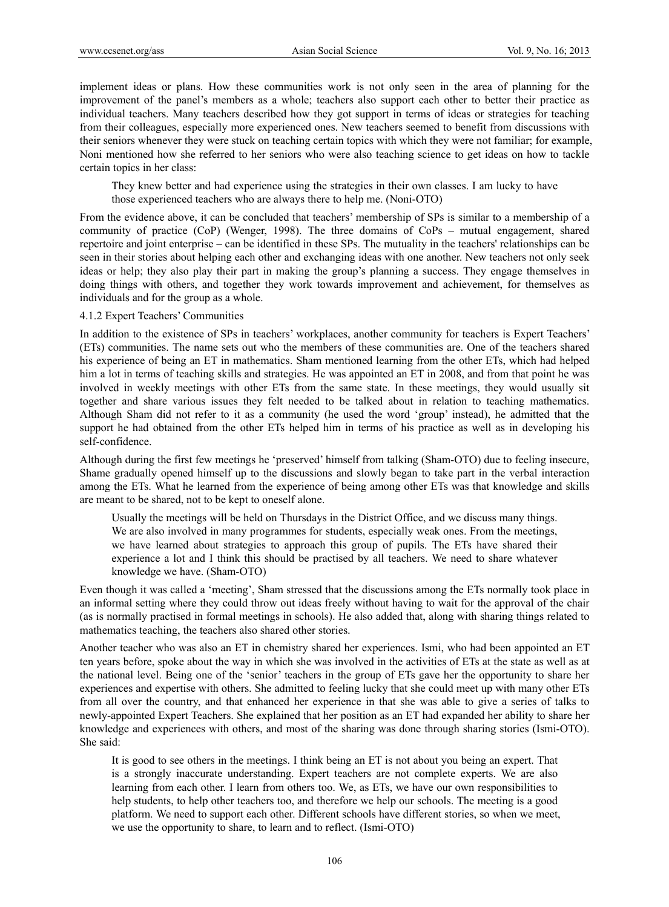implement ideas or plans. How these communities work is not only seen in the area of planning for the improvement of the panel's members as a whole; teachers also support each other to better their practice as individual teachers. Many teachers described how they got support in terms of ideas or strategies for teaching from their colleagues, especially more experienced ones. New teachers seemed to benefit from discussions with their seniors whenever they were stuck on teaching certain topics with which they were not familiar; for example, Noni mentioned how she referred to her seniors who were also teaching science to get ideas on how to tackle certain topics in her class:

They knew better and had experience using the strategies in their own classes. I am lucky to have those experienced teachers who are always there to help me. (Noni-OTO)

From the evidence above, it can be concluded that teachers' membership of SPs is similar to a membership of a community of practice (CoP) (Wenger, 1998). The three domains of CoPs – mutual engagement, shared repertoire and joint enterprise – can be identified in these SPs. The mutuality in the teachers' relationships can be seen in their stories about helping each other and exchanging ideas with one another. New teachers not only seek ideas or help; they also play their part in making the group's planning a success. They engage themselves in doing things with others, and together they work towards improvement and achievement, for themselves as individuals and for the group as a whole.

### 4.1.2 Expert Teachers' Communities

In addition to the existence of SPs in teachers' workplaces, another community for teachers is Expert Teachers' (ETs) communities. The name sets out who the members of these communities are. One of the teachers shared his experience of being an ET in mathematics. Sham mentioned learning from the other ETs, which had helped him a lot in terms of teaching skills and strategies. He was appointed an ET in 2008, and from that point he was involved in weekly meetings with other ETs from the same state. In these meetings, they would usually sit together and share various issues they felt needed to be talked about in relation to teaching mathematics. Although Sham did not refer to it as a community (he used the word 'group' instead), he admitted that the support he had obtained from the other ETs helped him in terms of his practice as well as in developing his self-confidence.

Although during the first few meetings he 'preserved' himself from talking (Sham-OTO) due to feeling insecure, Shame gradually opened himself up to the discussions and slowly began to take part in the verbal interaction among the ETs. What he learned from the experience of being among other ETs was that knowledge and skills are meant to be shared, not to be kept to oneself alone.

Usually the meetings will be held on Thursdays in the District Office, and we discuss many things. We are also involved in many programmes for students, especially weak ones. From the meetings, we have learned about strategies to approach this group of pupils. The ETs have shared their experience a lot and I think this should be practised by all teachers. We need to share whatever knowledge we have. (Sham-OTO)

Even though it was called a 'meeting', Sham stressed that the discussions among the ETs normally took place in an informal setting where they could throw out ideas freely without having to wait for the approval of the chair (as is normally practised in formal meetings in schools). He also added that, along with sharing things related to mathematics teaching, the teachers also shared other stories.

Another teacher who was also an ET in chemistry shared her experiences. Ismi, who had been appointed an ET ten years before, spoke about the way in which she was involved in the activities of ETs at the state as well as at the national level. Being one of the 'senior' teachers in the group of ETs gave her the opportunity to share her experiences and expertise with others. She admitted to feeling lucky that she could meet up with many other ETs from all over the country, and that enhanced her experience in that she was able to give a series of talks to newly-appointed Expert Teachers. She explained that her position as an ET had expanded her ability to share her knowledge and experiences with others, and most of the sharing was done through sharing stories (Ismi-OTO). She said:

It is good to see others in the meetings. I think being an ET is not about you being an expert. That is a strongly inaccurate understanding. Expert teachers are not complete experts. We are also learning from each other. I learn from others too. We, as ETs, we have our own responsibilities to help students, to help other teachers too, and therefore we help our schools. The meeting is a good platform. We need to support each other. Different schools have different stories, so when we meet, we use the opportunity to share, to learn and to reflect. (Ismi-OTO)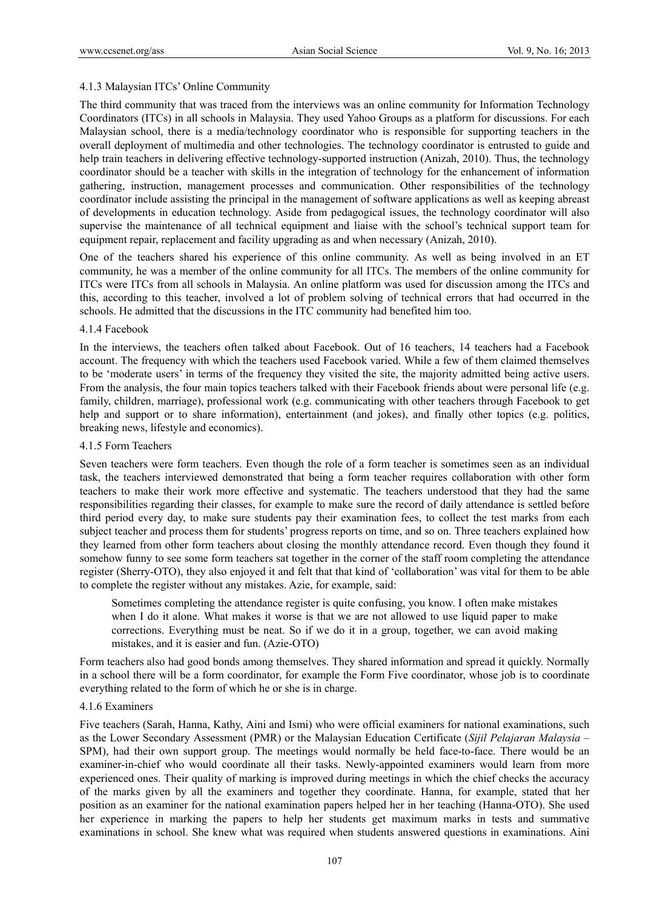## 4.1.3 Malaysian ITCs' Online Community

The third community that was traced from the interviews was an online community for Information Technology Coordinators (ITCs) in all schools in Malaysia. They used Yahoo Groups as a platform for discussions. For each Malaysian school, there is a media/technology coordinator who is responsible for supporting teachers in the overall deployment of multimedia and other technologies. The technology coordinator is entrusted to guide and help train teachers in delivering effective technology-supported instruction (Anizah, 2010). Thus, the technology coordinator should be a teacher with skills in the integration of technology for the enhancement of information gathering, instruction, management processes and communication. Other responsibilities of the technology coordinator include assisting the principal in the management of software applications as well as keeping abreast of developments in education technology. Aside from pedagogical issues, the technology coordinator will also supervise the maintenance of all technical equipment and liaise with the school's technical support team for equipment repair, replacement and facility upgrading as and when necessary (Anizah, 2010).

One of the teachers shared his experience of this online community. As well as being involved in an ET community, he was a member of the online community for all ITCs. The members of the online community for ITCs were ITCs from all schools in Malaysia. An online platform was used for discussion among the ITCs and this, according to this teacher, involved a lot of problem solving of technical errors that had occurred in the schools. He admitted that the discussions in the ITC community had benefited him too.

### 4.1.4 Facebook

In the interviews, the teachers often talked about Facebook. Out of 16 teachers, 14 teachers had a Facebook account. The frequency with which the teachers used Facebook varied. While a few of them claimed themselves to be 'moderate users' in terms of the frequency they visited the site, the majority admitted being active users. From the analysis, the four main topics teachers talked with their Facebook friends about were personal life (e.g. family, children, marriage), professional work (e.g. communicating with other teachers through Facebook to get help and support or to share information), entertainment (and jokes), and finally other topics (e.g. politics, breaking news, lifestyle and economics).

### 4.1.5 Form Teachers

Seven teachers were form teachers. Even though the role of a form teacher is sometimes seen as an individual task, the teachers interviewed demonstrated that being a form teacher requires collaboration with other form teachers to make their work more effective and systematic. The teachers understood that they had the same responsibilities regarding their classes, for example to make sure the record of daily attendance is settled before third period every day, to make sure students pay their examination fees, to collect the test marks from each subject teacher and process them for students' progress reports on time, and so on. Three teachers explained how they learned from other form teachers about closing the monthly attendance record. Even though they found it somehow funny to see some form teachers sat together in the corner of the staff room completing the attendance register (Sherry-OTO), they also enjoyed it and felt that that kind of 'collaboration' was vital for them to be able to complete the register without any mistakes. Azie, for example, said:

Sometimes completing the attendance register is quite confusing, you know. I often make mistakes when I do it alone. What makes it worse is that we are not allowed to use liquid paper to make corrections. Everything must be neat. So if we do it in a group, together, we can avoid making mistakes, and it is easier and fun. (Azie-OTO)

Form teachers also had good bonds among themselves. They shared information and spread it quickly. Normally in a school there will be a form coordinator, for example the Form Five coordinator, whose job is to coordinate everything related to the form of which he or she is in charge.

### 4.1.6 Examiners

Five teachers (Sarah, Hanna, Kathy, Aini and Ismi) who were official examiners for national examinations, such as the Lower Secondary Assessment (PMR) or the Malaysian Education Certificate (*Sijil Pelajaran Malaysia* – SPM), had their own support group. The meetings would normally be held face-to-face. There would be an examiner-in-chief who would coordinate all their tasks. Newly-appointed examiners would learn from more experienced ones. Their quality of marking is improved during meetings in which the chief checks the accuracy of the marks given by all the examiners and together they coordinate. Hanna, for example, stated that her position as an examiner for the national examination papers helped her in her teaching (Hanna-OTO). She used her experience in marking the papers to help her students get maximum marks in tests and summative examinations in school. She knew what was required when students answered questions in examinations. Aini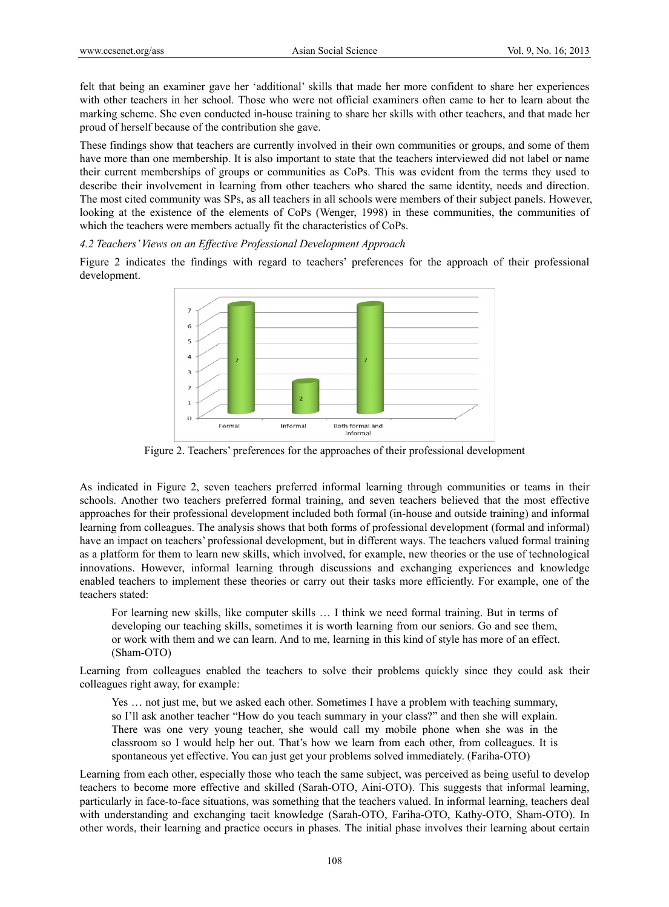felt that being an examiner gave her 'additional' skills that made her more confident to share her experiences with other teachers in her school. Those who were not official examiners often came to her to learn about the marking scheme. She even conducted in-house training to share her skills with other teachers, and that made her proud of herself because of the contribution she gave.

These findings show that teachers are currently involved in their own communities or groups, and some of them have more than one membership. It is also important to state that the teachers interviewed did not label or name their current memberships of groups or communities as CoPs. This was evident from the terms they used to describe their involvement in learning from other teachers who shared the same identity, needs and direction. The most cited community was SPs, as all teachers in all schools were members of their subject panels. However, looking at the existence of the elements of CoPs (Wenger, 1998) in these communities, the communities of which the teachers were members actually fit the characteristics of CoPs.

*4.2 Teachers' Views on an Effective Professional Development Approach* 

Figure 2 indicates the findings with regard to teachers' preferences for the approach of their professional development.



Figure 2. Teachers' preferences for the approaches of their professional development

As indicated in Figure 2, seven teachers preferred informal learning through communities or teams in their schools. Another two teachers preferred formal training, and seven teachers believed that the most effective approaches for their professional development included both formal (in-house and outside training) and informal learning from colleagues. The analysis shows that both forms of professional development (formal and informal) have an impact on teachers' professional development, but in different ways. The teachers valued formal training as a platform for them to learn new skills, which involved, for example, new theories or the use of technological innovations. However, informal learning through discussions and exchanging experiences and knowledge enabled teachers to implement these theories or carry out their tasks more efficiently. For example, one of the teachers stated:

For learning new skills, like computer skills … I think we need formal training. But in terms of developing our teaching skills, sometimes it is worth learning from our seniors. Go and see them, or work with them and we can learn. And to me, learning in this kind of style has more of an effect. (Sham-OTO)

Learning from colleagues enabled the teachers to solve their problems quickly since they could ask their colleagues right away, for example:

Yes … not just me, but we asked each other. Sometimes I have a problem with teaching summary, so I'll ask another teacher "How do you teach summary in your class?" and then she will explain. There was one very young teacher, she would call my mobile phone when she was in the classroom so I would help her out. That's how we learn from each other, from colleagues. It is spontaneous yet effective. You can just get your problems solved immediately. (Fariha-OTO)

Learning from each other, especially those who teach the same subject, was perceived as being useful to develop teachers to become more effective and skilled (Sarah-OTO, Aini-OTO). This suggests that informal learning, particularly in face-to-face situations, was something that the teachers valued. In informal learning, teachers deal with understanding and exchanging tacit knowledge (Sarah-OTO, Fariha-OTO, Kathy-OTO, Sham-OTO). In other words, their learning and practice occurs in phases. The initial phase involves their learning about certain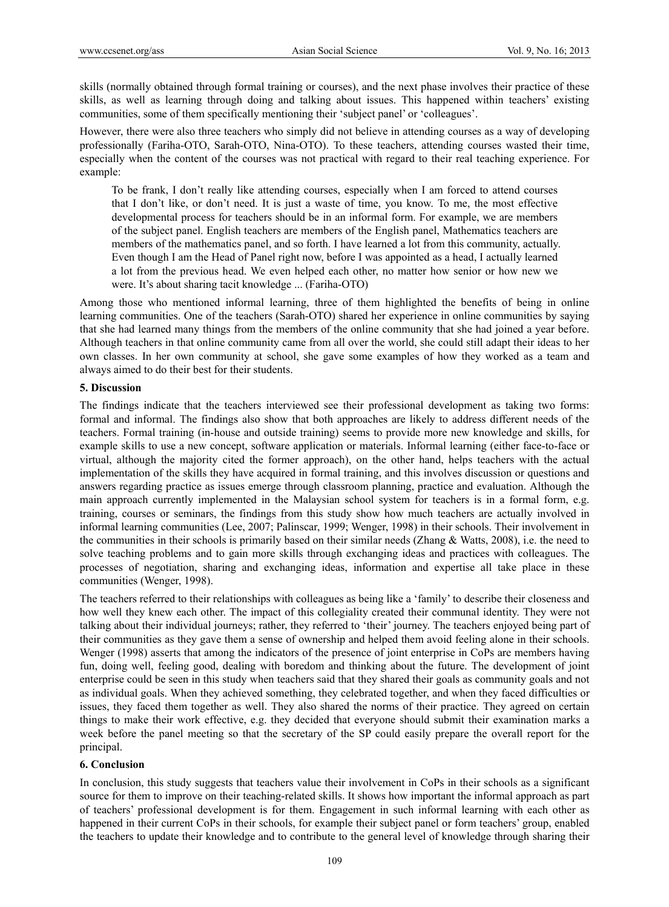skills (normally obtained through formal training or courses), and the next phase involves their practice of these skills, as well as learning through doing and talking about issues. This happened within teachers' existing communities, some of them specifically mentioning their 'subject panel' or 'colleagues'.

However, there were also three teachers who simply did not believe in attending courses as a way of developing professionally (Fariha-OTO, Sarah-OTO, Nina-OTO). To these teachers, attending courses wasted their time, especially when the content of the courses was not practical with regard to their real teaching experience. For example:

To be frank, I don't really like attending courses, especially when I am forced to attend courses that I don't like, or don't need. It is just a waste of time, you know. To me, the most effective developmental process for teachers should be in an informal form. For example, we are members of the subject panel. English teachers are members of the English panel, Mathematics teachers are members of the mathematics panel, and so forth. I have learned a lot from this community, actually. Even though I am the Head of Panel right now, before I was appointed as a head, I actually learned a lot from the previous head. We even helped each other, no matter how senior or how new we were. It's about sharing tacit knowledge ... (Fariha-OTO)

Among those who mentioned informal learning, three of them highlighted the benefits of being in online learning communities. One of the teachers (Sarah-OTO) shared her experience in online communities by saying that she had learned many things from the members of the online community that she had joined a year before. Although teachers in that online community came from all over the world, she could still adapt their ideas to her own classes. In her own community at school, she gave some examples of how they worked as a team and always aimed to do their best for their students.

#### **5. Discussion**

The findings indicate that the teachers interviewed see their professional development as taking two forms: formal and informal. The findings also show that both approaches are likely to address different needs of the teachers. Formal training (in-house and outside training) seems to provide more new knowledge and skills, for example skills to use a new concept, software application or materials. Informal learning (either face-to-face or virtual, although the majority cited the former approach), on the other hand, helps teachers with the actual implementation of the skills they have acquired in formal training, and this involves discussion or questions and answers regarding practice as issues emerge through classroom planning, practice and evaluation. Although the main approach currently implemented in the Malaysian school system for teachers is in a formal form, e.g. training, courses or seminars, the findings from this study show how much teachers are actually involved in informal learning communities (Lee, 2007; Palinscar, 1999; Wenger, 1998) in their schools. Their involvement in the communities in their schools is primarily based on their similar needs (Zhang & Watts, 2008), i.e. the need to solve teaching problems and to gain more skills through exchanging ideas and practices with colleagues. The processes of negotiation, sharing and exchanging ideas, information and expertise all take place in these communities (Wenger, 1998).

The teachers referred to their relationships with colleagues as being like a 'family' to describe their closeness and how well they knew each other. The impact of this collegiality created their communal identity. They were not talking about their individual journeys; rather, they referred to 'their' journey. The teachers enjoyed being part of their communities as they gave them a sense of ownership and helped them avoid feeling alone in their schools. Wenger (1998) asserts that among the indicators of the presence of joint enterprise in CoPs are members having fun, doing well, feeling good, dealing with boredom and thinking about the future. The development of joint enterprise could be seen in this study when teachers said that they shared their goals as community goals and not as individual goals. When they achieved something, they celebrated together, and when they faced difficulties or issues, they faced them together as well. They also shared the norms of their practice. They agreed on certain things to make their work effective, e.g. they decided that everyone should submit their examination marks a week before the panel meeting so that the secretary of the SP could easily prepare the overall report for the principal.

### **6. Conclusion**

In conclusion, this study suggests that teachers value their involvement in CoPs in their schools as a significant source for them to improve on their teaching-related skills. It shows how important the informal approach as part of teachers' professional development is for them. Engagement in such informal learning with each other as happened in their current CoPs in their schools, for example their subject panel or form teachers' group, enabled the teachers to update their knowledge and to contribute to the general level of knowledge through sharing their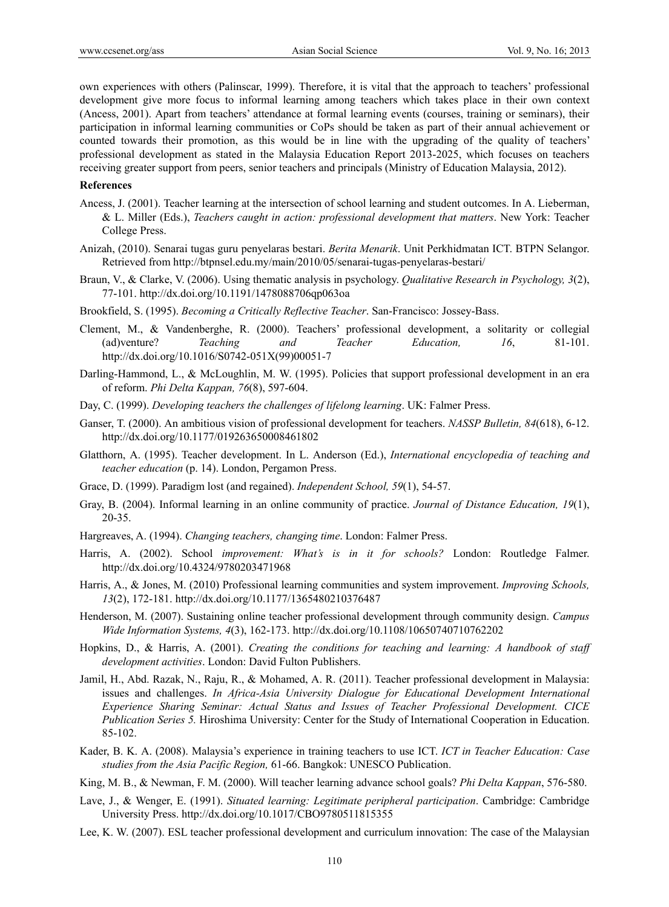own experiences with others (Palinscar, 1999). Therefore, it is vital that the approach to teachers' professional development give more focus to informal learning among teachers which takes place in their own context (Ancess, 2001). Apart from teachers' attendance at formal learning events (courses, training or seminars), their participation in informal learning communities or CoPs should be taken as part of their annual achievement or counted towards their promotion, as this would be in line with the upgrading of the quality of teachers' professional development as stated in the Malaysia Education Report 2013-2025, which focuses on teachers receiving greater support from peers, senior teachers and principals (Ministry of Education Malaysia, 2012).

#### **References**

- Ancess, J. (2001). Teacher learning at the intersection of school learning and student outcomes. In A. Lieberman, & L. Miller (Eds.), *Teachers caught in action: professional development that matters*. New York: Teacher College Press.
- Anizah, (2010). Senarai tugas guru penyelaras bestari. *Berita Menarik*. Unit Perkhidmatan ICT. BTPN Selangor. Retrieved from http://btpnsel.edu.my/main/2010/05/senarai-tugas-penyelaras-bestari/
- Braun, V., & Clarke, V. (2006). Using thematic analysis in psychology. *Qualitative Research in Psychology, 3*(2), 77-101. http://dx.doi.org/10.1191/1478088706qp063oa
- Brookfield, S. (1995). *Becoming a Critically Reflective Teacher*. San-Francisco: Jossey-Bass.
- Clement, M., & Vandenberghe, R. (2000). Teachers' professional development, a solitarity or collegial (ad)venture? *Teaching and Teacher Education, 16*, 81-101. http://dx.doi.org/10.1016/S0742-051X(99)00051-7
- Darling-Hammond, L., & McLoughlin, M. W. (1995). Policies that support professional development in an era of reform. *Phi Delta Kappan, 76*(8), 597-604.
- Day, C. (1999). *Developing teachers the challenges of lifelong learning*. UK: Falmer Press.
- Ganser, T. (2000). An ambitious vision of professional development for teachers. *NASSP Bulletin, 84*(618), 6-12. http://dx.doi.org/10.1177/019263650008461802
- Glatthorn, A. (1995). Teacher development. In L. Anderson (Ed.), *International encyclopedia of teaching and teacher education* (p. 14). London, Pergamon Press.
- Grace, D. (1999). Paradigm lost (and regained). *Independent School, 59*(1), 54-57.
- Gray, B. (2004). Informal learning in an online community of practice. *Journal of Distance Education, 19*(1), 20-35.
- Hargreaves, A. (1994). *Changing teachers, changing time*. London: Falmer Press.
- Harris, A. (2002). School *improvement: What's is in it for schools?* London: Routledge Falmer. http://dx.doi.org/10.4324/9780203471968
- Harris, A., & Jones, M. (2010) Professional learning communities and system improvement. *Improving Schools, 13*(2), 172-181. http://dx.doi.org/10.1177/1365480210376487
- Henderson, M. (2007). Sustaining online teacher professional development through community design. *Campus Wide Information Systems, 4*(3), 162-173. http://dx.doi.org/10.1108/10650740710762202
- Hopkins, D., & Harris, A. (2001). *Creating the conditions for teaching and learning: A handbook of staff development activities*. London: David Fulton Publishers.
- Jamil, H., Abd. Razak, N., Raju, R., & Mohamed, A. R. (2011). Teacher professional development in Malaysia: issues and challenges. *In Africa-Asia University Dialogue for Educational Development International Experience Sharing Seminar: Actual Status and Issues of Teacher Professional Development. CICE Publication Series 5.* Hiroshima University: Center for the Study of International Cooperation in Education. 85-102.
- Kader, B. K. A. (2008). Malaysia's experience in training teachers to use ICT. *ICT in Teacher Education: Case studies from the Asia Pacific Region,* 61-66. Bangkok: UNESCO Publication.
- King, M. B., & Newman, F. M. (2000). Will teacher learning advance school goals? *Phi Delta Kappan*, 576-580.
- Lave, J., & Wenger, E. (1991). *Situated learning: Legitimate peripheral participation*. Cambridge: Cambridge University Press. http://dx.doi.org/10.1017/CBO9780511815355
- Lee, K. W. (2007). ESL teacher professional development and curriculum innovation: The case of the Malaysian